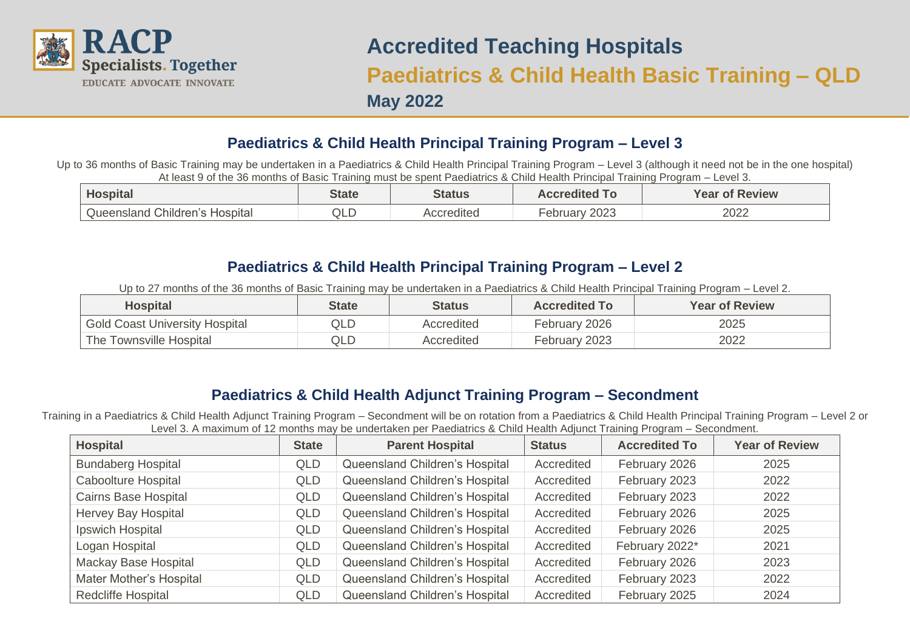

## **Accredited Teaching Hospitals Paediatrics & Child Health Basic Training – QLD May 2022**

## **Paediatrics & Child Health Principal Training Program – Level 3**

Up to 36 months of Basic Training may be undertaken in a Paediatrics & Child Health Principal Training Program – Level 3 (although it need not be in the one hospital) At least 9 of the 36 months of Basic Training must be spent Paediatrics & Child Health Principal Training Program – Level 3.

| <b>Hospital</b>                          | <b>State</b> | <b>Status</b> | <b>Accredited To</b> | <b>Year of Review</b> |
|------------------------------------------|--------------|---------------|----------------------|-----------------------|
| <b>Children's Hospital</b><br>Queensland | QLD          | Accredited    | February 2023        | 2022                  |

## **Paediatrics & Child Health Principal Training Program – Level 2**

Up to 27 months of the 36 months of Basic Training may be undertaken in a Paediatrics & Child Health Principal Training Program – Level 2.

| <b>Hospital</b>                | <b>State</b> | Status     | <b>Accredited To</b> | <b>Year of Review</b> |
|--------------------------------|--------------|------------|----------------------|-----------------------|
| Gold Coast University Hospital | QLD          | Accredited | February 2026        | 2025                  |
| The Townsville Hospital        | QLD          | Accredited | February 2023        | 2022                  |

## **Paediatrics & Child Health Adjunct Training Program – Secondment**

Training in a Paediatrics & Child Health Adjunct Training Program – Secondment will be on rotation from a Paediatrics & Child Health Principal Training Program – Level 2 or Level 3. A maximum of 12 months may be undertaken per Paediatrics & Child Health Adjunct Training Program – Secondment.

| <b>Hospital</b>                | <b>State</b> | <b>Parent Hospital</b>         | <b>Status</b> | <b>Accredited To</b> | <b>Year of Review</b> |
|--------------------------------|--------------|--------------------------------|---------------|----------------------|-----------------------|
| <b>Bundaberg Hospital</b>      | QLD          | Queensland Children's Hospital | Accredited    | February 2026        | 2025                  |
| Caboolture Hospital            | <b>QLD</b>   | Queensland Children's Hospital | Accredited    | February 2023        | 2022                  |
| <b>Cairns Base Hospital</b>    | <b>QLD</b>   | Queensland Children's Hospital | Accredited    | February 2023        | 2022                  |
| Hervey Bay Hospital            | <b>QLD</b>   | Queensland Children's Hospital | Accredited    | February 2026        | 2025                  |
| Ipswich Hospital               | <b>QLD</b>   | Queensland Children's Hospital | Accredited    | February 2026        | 2025                  |
| Logan Hospital                 | <b>QLD</b>   | Queensland Children's Hospital | Accredited    | February 2022*       | 2021                  |
| Mackay Base Hospital           | <b>QLD</b>   | Queensland Children's Hospital | Accredited    | February 2026        | 2023                  |
| <b>Mater Mother's Hospital</b> | <b>QLD</b>   | Queensland Children's Hospital | Accredited    | February 2023        | 2022                  |
| <b>Redcliffe Hospital</b>      | <b>QLD</b>   | Queensland Children's Hospital | Accredited    | February 2025        | 2024                  |